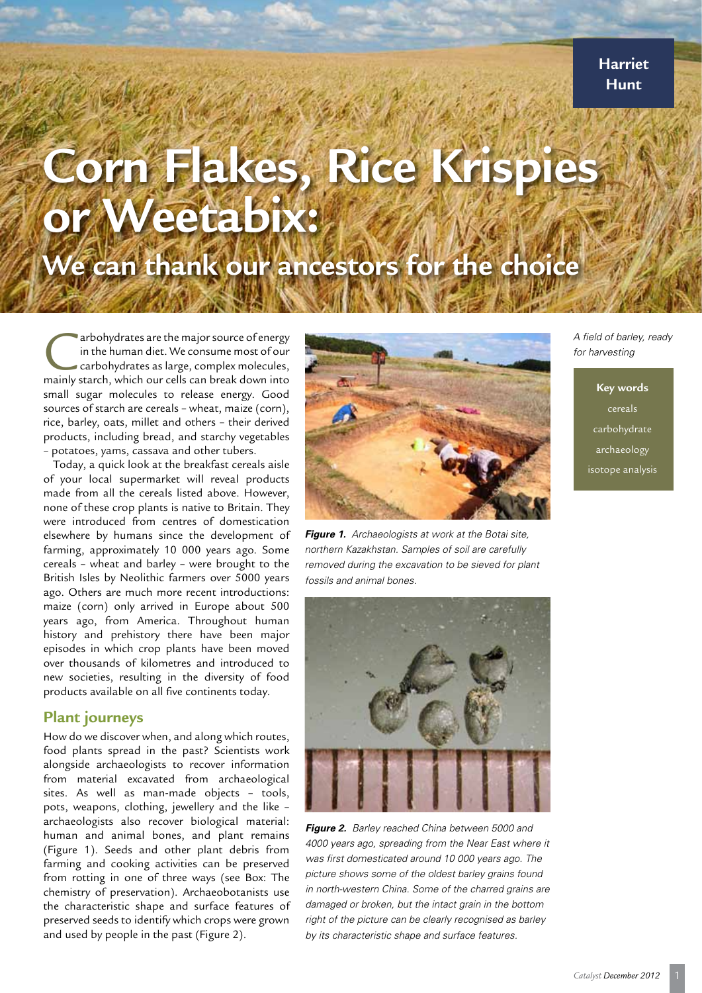**Harriet Hunt**

# **Corn Flakes, Rice Krispi or Weetabix:**

# **We can thank our ancestors for the choice**

arbohydrates are the major source of energy<br>in the human diet. We consume most of our<br>carbohydrates as large, complex molecules,<br>mainly starch, which our cells can break down into in the human diet. We consume most of our carbohydrates as large, complex molecules, mainly starch, which our cells can break down into small sugar molecules to release energy. Good sources of starch are cereals – wheat, maize (corn), rice, barley, oats, millet and others – their derived products, including bread, and starchy vegetables – potatoes, yams, cassava and other tubers.

Today, a quick look at the breakfast cereals aisle of your local supermarket will reveal products made from all the cereals listed above. However, none of these crop plants is native to Britain. They were introduced from centres of domestication elsewhere by humans since the development of farming, approximately 10 000 years ago. Some cereals – wheat and barley – were brought to the British Isles by Neolithic farmers over 5000 years ago. Others are much more recent introductions: maize (corn) only arrived in Europe about 500 years ago, from America. Throughout human history and prehistory there have been major episodes in which crop plants have been moved over thousands of kilometres and introduced to new societies, resulting in the diversity of food products available on all five continents today.

## **Plant journeys**

How do we discover when, and along which routes, food plants spread in the past? Scientists work alongside archaeologists to recover information from material excavated from archaeological sites. As well as man-made objects – tools, pots, weapons, clothing, jewellery and the like – archaeologists also recover biological material: human and animal bones, and plant remains (Figure 1). Seeds and other plant debris from farming and cooking activities can be preserved from rotting in one of three ways (see Box: The chemistry of preservation). Archaeobotanists use the characteristic shape and surface features of preserved seeds to identify which crops were grown and used by people in the past (Figure 2).



*Figure 1. Archaeologists at work at the Botai site, northern Kazakhstan. Samples of soil are carefully removed during the excavation to be sieved for plant fossils and animal bones.* 



*Figure 2. Barley reached China between 5000 and 4000 years ago, spreading from the Near East where it was first domesticated around 10 000 years ago. The picture shows some of the oldest barley grains found in north-western China. Some of the charred grains are damaged or broken, but the intact grain in the bottom right of the picture can be clearly recognised as barley by its characteristic shape and surface features.* 

*A field of barley, ready for harvesting*

> **Key words** cereals carbohydrate archaeology isotope analysis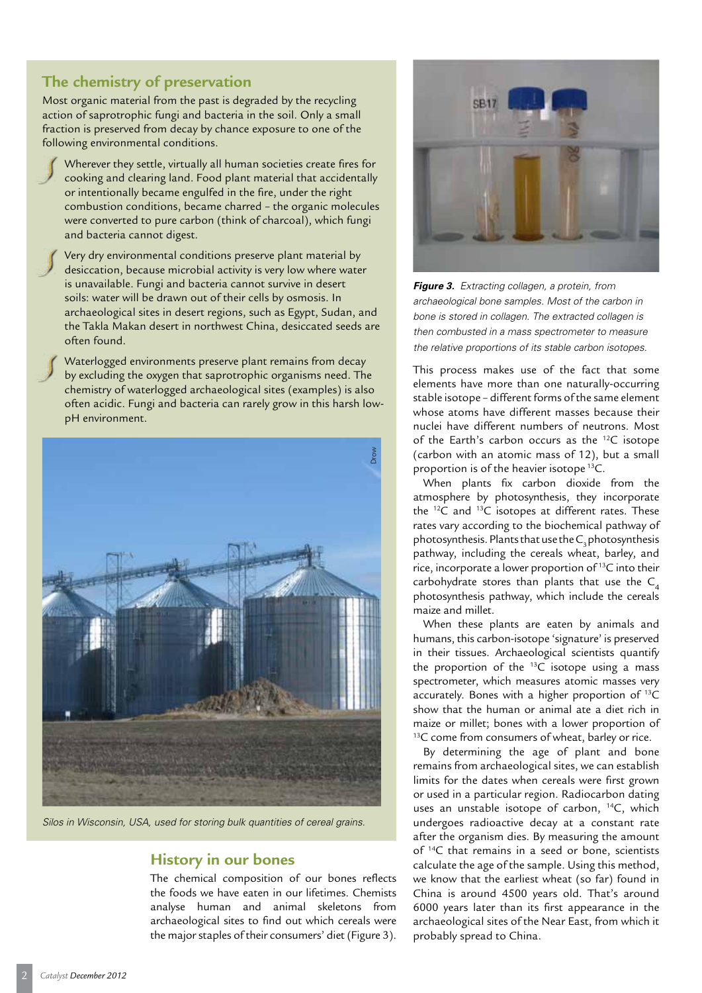# **The chemistry of preservation**

Most organic material from the past is degraded by the recycling action of saprotrophic fungi and bacteria in the soil. Only a small fraction is preserved from decay by chance exposure to one of the following environmental conditions.

Wherever they settle, virtually all human societies create fires for cooking and clearing land. Food plant material that accidentally or intentionally became engulfed in the fire, under the right combustion conditions, became charred – the organic molecules were converted to pure carbon (think of charcoal), which fungi and bacteria cannot digest.

Very dry environmental conditions preserve plant material by desiccation, because microbial activity is very low where water is unavailable. Fungi and bacteria cannot survive in desert soils: water will be drawn out of their cells by osmosis. In archaeological sites in desert regions, such as Egypt, Sudan, and the Takla Makan desert in northwest China, desiccated seeds are often found.

Waterlogged environments preserve plant remains from decay by excluding the oxygen that saprotrophic organisms need. The chemistry of waterlogged archaeological sites (examples) is also often acidic. Fungi and bacteria can rarely grow in this harsh lowpH environment.



*Silos in Wisconsin, USA, used for storing bulk quantities of cereal grains.*

## **History in our bones**

The chemical composition of our bones reflects the foods we have eaten in our lifetimes. Chemists analyse human and animal skeletons from archaeological sites to find out which cereals were the major staples of their consumers' diet (Figure 3).



*Figure 3. Extracting collagen, a protein, from archaeological bone samples. Most of the carbon in bone is stored in collagen. The extracted collagen is then combusted in a mass spectrometer to measure the relative proportions of its stable carbon isotopes.* 

This process makes use of the fact that some elements have more than one naturally-occurring stable isotope – different forms of the same element whose atoms have different masses because their nuclei have different numbers of neutrons. Most of the Earth's carbon occurs as the 12C isotope (carbon with an atomic mass of 12), but a small proportion is of the heavier isotope 13C.

When plants fix carbon dioxide from the atmosphere by photosynthesis, they incorporate the  $^{12}C$  and  $^{13}C$  isotopes at different rates. These rates vary according to the biochemical pathway of  $photosynthesis$ . Plants that use the  $C<sub>s</sub>$  photosynthesis pathway, including the cereals wheat, barley, and rice, incorporate a lower proportion of 13C into their carbohydrate stores than plants that use the  $C_4$ photosynthesis pathway, which include the cereals maize and millet.

When these plants are eaten by animals and humans, this carbon-isotope 'signature' is preserved in their tissues. Archaeological scientists quantify the proportion of the  $^{13}$ C isotope using a mass spectrometer, which measures atomic masses very accurately. Bones with a higher proportion of 13C show that the human or animal ate a diet rich in maize or millet; bones with a lower proportion of <sup>13</sup>C come from consumers of wheat, barley or rice.

By determining the age of plant and bone remains from archaeological sites, we can establish limits for the dates when cereals were first grown or used in a particular region. Radiocarbon dating uses an unstable isotope of carbon, <sup>14</sup>C, which undergoes radioactive decay at a constant rate after the organism dies. By measuring the amount of <sup>14</sup>C that remains in a seed or bone, scientists calculate the age of the sample. Using this method, we know that the earliest wheat (so far) found in China is around 4500 years old. That's around 6000 years later than its first appearance in the archaeological sites of the Near East, from which it probably spread to China.